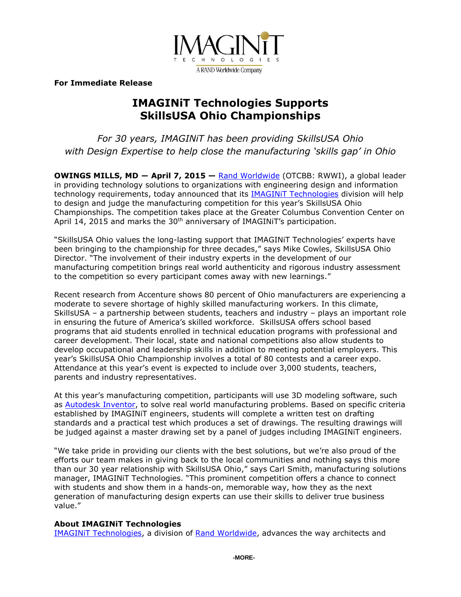

**For Immediate Release**

## **IMAGINiT Technologies Supports SkillsUSA Ohio Championships**

*For 30 years, IMAGINiT has been providing SkillsUSA Ohio with Design Expertise to help close the manufacturing 'skills gap' in Ohio*

**OWINGS MILLS, MD ― April 7, 2015 —** [Rand Worldwide](http://www.rand.com/) (OTCBB: RWWI), a global leader in providing technology solutions to organizations with engineering design and information technology requirements, today announced that its [IMAGINiT Technologies](http://www.imaginit.com/) division will help to design and judge the manufacturing competition for this year's SkillsUSA Ohio Championships. The competition takes place at the Greater Columbus Convention Center on April 14, 2015 and marks the 30<sup>th</sup> anniversary of IMAGINIT's participation.

"SkillsUSA Ohio values the long-lasting support that IMAGINiT Technologies' experts have been bringing to the championship for three decades," says Mike Cowles, SkillsUSA Ohio Director. "The involvement of their industry experts in the development of our manufacturing competition brings real world authenticity and rigorous industry assessment to the competition so every participant comes away with new learnings."

Recent research from Accenture shows 80 percent of Ohio manufacturers are experiencing a moderate to severe shortage of highly skilled manufacturing workers. In this climate, SkillsUSA – a partnership between students, teachers and industry – plays an important role in ensuring the future of America's skilled workforce. SkillsUSA offers school based programs that aid students enrolled in technical education programs with professional and career development. Their local, state and national competitions also allow students to develop occupational and leadership skills in addition to meeting potential employers. This year's SkillsUSA Ohio Championship involves a total of 80 contests and a career expo. Attendance at this year's event is expected to include over 3,000 students, teachers, parents and industry representatives.

At this year's manufacturing competition, participants will use 3D modeling software, such as [Autodesk Inventor,](http://www.imaginit.com/inventor) to solve real world manufacturing problems. Based on specific criteria established by IMAGINiT engineers, students will complete a written test on drafting standards and a practical test which produces a set of drawings. The resulting drawings will be judged against a master drawing set by a panel of judges including IMAGINiT engineers.

"We take pride in providing our clients with the best solutions, but we're also proud of the efforts our team makes in giving back to the local communities and nothing says this more than our 30 year relationship with SkillsUSA Ohio," says Carl Smith, manufacturing solutions manager, IMAGINiT Technologies. "This prominent competition offers a chance to connect with students and show them in a hands-on, memorable way, how they as the next generation of manufacturing design experts can use their skills to deliver true business value."

## **About IMAGINiT Technologies**

[IMAGINiT Technologies,](http://www.imaginit.com/) a division of [Rand Worldwide,](http://www.rand.com/) advances the way architects and